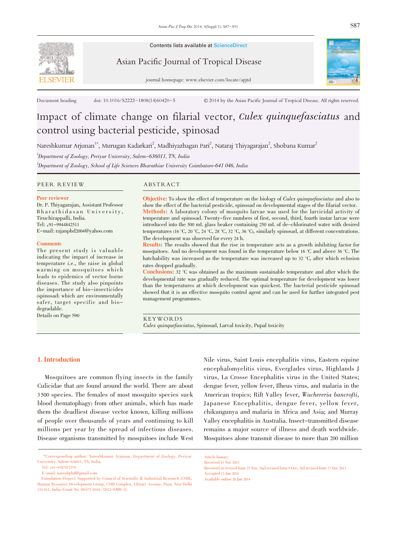

Contents lists available at ScienceDirect

Asian Pacific Journal of Tropical Disease



journal homepage: www.elsevier.com/locate/apjtd

Document heading doi: 10.1016/S2222-1808(14)60420-5 © 2014 by the Asian Pacific Journal of Tropical Disease. All rights reserved.

# Impact of climate change on filarial vector, Culex quinquefasciatus and control using bacterial pesticide, spinosad

Nareshkumar Arjunan $^{1*}$ , Murugan Kadarkari $^{2}$ , Madhiyazhagan Pari $^{2}$ , Nataraj Thiyagarajan $^{2}$ , Shobana Kumar $^{2}$ 

<sup>1</sup>Department of Zoology, Periyar University, Salem–636011, TN, India

 $^2$ Department of Zoology, School of Life Sciences Bharathiar University Coimbatore-641 046, India

PEER REVIEW ABSTRACT

#### Peer reviewer

Dr. P. Thiyagarajan, Assistant Professor Bharathidasan University, Tiruchirappalli, India. Tel: +91-9944842511 E-mail: rajanphd2004@yahoo.com

#### **Comments**

The present study is valuable indicating the impact of increase in temperature i.e., the raise in global warming on mosquitoes which leads to epidemics of vector borne diseases. The study also pinpoints the importance of bio-insecticides (spinosad) which are environmentally safer, target specific and biodegradable.

Details on Page S90

Objective: To show the effect of temperature on the biology of *Culex quinquefasciatus* and also to show the effect of the bacterial pesticide, spinosad on developmental stages of the filarial vector. Methods: A laboratory colony of mosquito larvae was used for the larvicidal activity of temperature and spinosad. Twenty-five numbers of first, second, third, fourth instar larvae were introduced into the 500 mL glass beaker containing 250 mL of de-chlorinated water with desired temperatures (16 °C, 20 °C, 24 °C, 28 °C, 32 °C, 36 °C), similarly spinosad, at different concentrations. The development was observed for every 24 h.

Results: The results showed that the rise in temperature acts as a growth inhibiting factor for mosquitoes. And no development was found in the temperature below 16 °C and above 36 °C. The hatchability was increased as the temperature was increased up to 32 °C, after which eclosion rates dropped gradually.

Conclusions: <sup>32</sup> °C was obtained as the maximum sustainable temperature and after which the developmental rate was gradually reduced. The optimal temperature for development was lower than the temperatures at which development was quickest. The bacterial pesticide spinosad showed that it is an effective mosquito control agent and can be used for further integrated pest management programmes.

KEYWORDS Culex quinquefasciatus, Spinosad, Larval toxicity, Pupal toxicity

# 1. Introduction

Mosquitoes are common flying insects in the family Culicidae that are found around the world. There are about 3 500 species. The females of most mosquito species suck blood (hematophagy) from other animals, which has made them the deadliest disease vector known, killing millions of people over thousands of years and continuing to kill millions per year by the spread of infectious diseases. Disease organisms transmitted by mosquitoes include West Nile virus, Saint Louis encephalitis virus, Eastern equine encephalomyelitis virus, Everglades virus, Highlands J virus, La Crosse Encephalitis virus in the United States; dengue fever, yellow fever, Ilheus virus, and malaria in the American tropics; Rift Valley fever, Wuchereria bancrofti, Japanese Encephalitis, dengue fever, yellow fever, chikungunya and malaria in Africa and Asia; and Murray Valley encephalitis in Australia. Insect-transmitted disease remains a major source of illness and death worldwide. Mosquitoes alone transmit disease to more than 200 million

Article history: Received 15 Nov 2013

Received in revised form 27 Nov, 2nd revised form 9 Dec, 3rd revised form 17 Dec 2013 Accepted 12 Jan 2014 Available online 28 Jan 2014

<sup>\*</sup>Corresponding author: Nareshkumar Arjunan, Department of Zoology, Periyar University, Salem-636011, TN, India.

Tel: +91-9787412379

E-mail: nareshphd@gmail.com

Foundation Project: Supported by Council of Scientific & Industrial Research (CSIR), Human Resource Development Group, CSIR Complex, Library Avenue, Pusa, New Delhi <sup>110</sup> 012, India (Grant No. 09/472 (0161) /2012–EMR-I).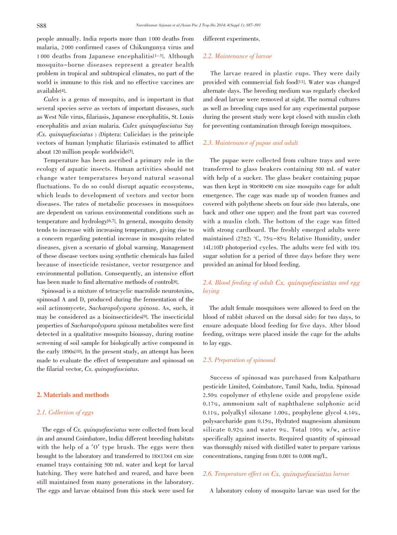people annually. India reports more than 1 000 deaths from malaria, 2 000 confirmed cases of Chikungunya virus and 1 000 deaths from Japanese encephalitis[1-3]. Although mosquito-borne diseases represent a greater health problem in tropical and subtropical climates, no part of the world is immune to this risk and no effective vaccines are available[4].

Culex is a genus of mosquito, and is important in that several species serve as vectors of important diseases, such as West Nile virus, filariasis, Japanese encephalitis, St. Louis encephalitis and avian malaria. Culex quinquefasciatus Say  $(Cx.$  quinque fasciatus ) (Diptera: Culicidae) is the principle vectors of human lymphatic filariasis estimated to afflict about 120 million people worldwide[5].

Temperature has been ascribed a primary role in the ecology of aquatic insects. Human activities should not change water temperatures beyond natural seasonal fluctuations. To do so could disrupt aquatic ecosystems, which leads to development of vectors and vector born diseases. The rates of metabolic processes in mosquitoes are dependent on various environmental conditions such as temperature and hydrology[6,7]. In general, mosquito density tends to increase with increasing temperature, giving rise to a concern regarding potential increase in mosquito related diseases, given a scenario of global warming. Management of these disease vectors using synthetic chemicals has failed because of insecticide resistance, vector resurgence and environmental pollution. Consequently, an intensive effort has been made to find alternative methods of control[8].

Spinosad is a mixture of tetracyclic macrolide neurotoxins, spinosad A and D, produced during the fermentation of the soil actinomycete, Sacharopolyspora spinosa. As, such, it may be considered as a bioinsecticides[9]. The insecticidal properties of Sacharopolyspora spinosa metabolites were first detected in a qualitative mosquito bioassay, during routine screening of soil sample for biologically active compound in the early 1890s[10]. In the present study, an attempt has been made to evaluate the effect of temperature and spinosad on the filarial vector, Cx. quinquefasciatus.

# 2. Materials and methods

# 2.1. Collection of eggs

The eggs of Cx. quinquefasciatus were collected from local (in and around Coimbatore, India) different breeding habitats with the help of a 'O' type brush. The eggs were then brought to the laboratory and transferred to 18×13×4 cm size enamel trays containing 500 mL water and kept for larval hatching. They were hatched and reared, and have been still maintained from many generations in the laboratory. The eggs and larvae obtained from this stock were used for different experiments.

### 2.2. Maintenance of larvae

The larvae reared in plastic cups. They were daily provided with commercial fish food[11]. Water was changed alternate days. The breeding medium was regularly checked and dead larvae were removed at sight. The normal cultures as well as breeding cups used for any experimental purpose during the present study were kept closed with muslin cloth for preventing contamination through foreign mosquitoes.

# 2.3. Maintenance of pupae and adult

The pupae were collected from culture trays and were transferred to glass beakers containing 500 mL of water with help of a sucker. The glass beaker containing pupae was then kept in 90×90×90 cm size mosquito cage for adult emergence. The cage was made up of wooden frames and covered with polythene sheets on four side (two laterals, one back and other one upper) and the front part was covered with a muslin cloth. The bottom of the cage was fitted with strong cardboard. The freshly emerged adults were maintained (27±2) °C, 75%-85% Relative Humidity, under 14L:10D photoperiod cycles. The adults were fed with 10% sugar solution for a period of three days before they were provided an animal for blood feeding.

# 2.4. Blood feeding of adult Cx. quinquefasciatus and egg laying

The adult female mosquitoes were allowed to feed on the blood of rabbit (shaved on the dorsal side) for two days, to ensure adequate blood feeding for five days. After blood feeding, ovitraps were placed inside the cage for the adults to lay eggs.

### 2.5. Preparation of spinosad

Success of spinosad was purchased from Kalpatharu pesticide Limited, Coimbatore, Tamil Nadu, India. Spinosad 2.50% copolymer of ethylene oxide and propylene oxide 0.17%, ammonium salt of naphthalene sulphonic acid 0.11%, polyalkyl siloxane 1.00%, prophylene glycol 4.14%, polysaccharide gum 0.15%, Hydrated magnesium aluminum silicate 0.92% and water 9%. Total 100% w/w, active specifically against insects. Required quantity of spinosad was thoroughly mixed with distilled water to prepare various concentrations, ranging from 0.001 to 0.008 mg/L.

# 2.6. Temperature effect on Cx. quinquefasciatus larvae

A laboratory colony of mosquito larvae was used for the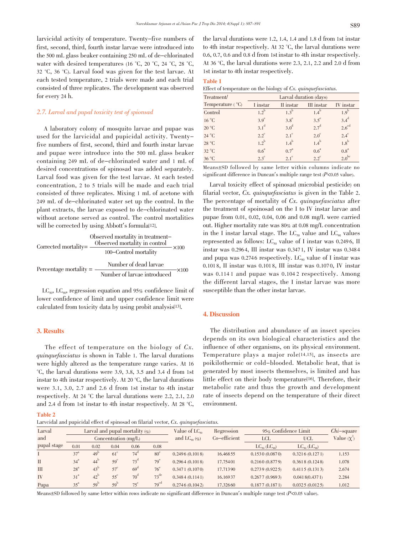larvicidal activity of temperature. Twenty-five numbers of first, second, third, fourth instar larvae were introduced into the 500 mL glass beaker containing 250 mL of de-chlorinated water with desired temperatures (16 °C, 20 °C, 24 °C, 28 °C, 32 °C, 36 °C). Larval food was given for the test larvae. At each tested temperature, 2 trials were made and each trial consisted of three replicates. The development was observed for every 24 h.

# 2.7. Larval and pupal toxicity test of spionsad

A laboratory colony of mosquito larvae and pupae was used for the larvicidal and pupicidal activity. Twentyfive numbers of first, second, third and fourth instar larvae and pupae were introduce into the 500 mL glass beaker containing 249 mL of de-chlorinated water and 1 mL of desired concentrations of spinosad was added separately. Larval food was given for the test larvae. At each tested concentration, 2 to 5 trials will be made and each trial consisted of three replicates. Mixing 1 mL of acetone with 249 mL of de-chlorinated water set up the control. In the plant extracts, the larvae exposed to de-chlorinated water without acetone served as control. The control mortalities will be corrected by using Abbott's formula<sup>[12]</sup>.

$$
Observed mortality in treatment–\nCorrected mortality = \frac{Observed mortality in control}{100–Control mortality} \times 100
$$
\n
$$
Percentage mortality = \frac{Number of dead larvae}{Number of larvae introduced} \times 100
$$

 $LC_{50}$ ,  $LC_{90}$ , regression equation and 95% confidence limit of lower confidence of limit and upper confidence limit were calculated from toxicity data by using probit analysis[13].

#### 3. Results

The effect of temperature on the biology of  $Cx$ . quinquefasciatus is shown in Table 1. The larval durations were highly altered as the temperature range varies. At 16 °C, the larval durations were 3.9, 3.8, 3.5 and 3.4 d from 1st instar to 4th instar respectively. At 20 °C, the larval durations were 3.1, 3.0, 2.7 and 2.6 d from 1st instar to 4th instar respectively. At 24 °C the larval durations were 2.2, 2.1, 2.0 and 2.4 d from 1st instar to 4th instar respectively. At 28 °C,

#### Table 2

Larvcidal and pupicidal effect of spinosad on filarial vector, Cx. quinquefasciatus.

the larval durations were 1.2, 1.4, 1.4 and 1.8 d from 1st instar to 4th instar respectively. At 32 °C, the larval durations were 0.6, 0.7, 0.6 and 0.8 d from 1stinstar to 4th instar respectively. At 36 °C, the larval durations were 2.3, 2.1, 2.2 and 2.0 d from

#### Table 1

| Effect of temperature on the biology of $Cx$ . quinquefasciatus. |  |  |
|------------------------------------------------------------------|--|--|
|------------------------------------------------------------------|--|--|

1st instar to 4th instar respectively.

| Treatment/                | Larval duration (days) |                    |                    |                   |  |
|---------------------------|------------------------|--------------------|--------------------|-------------------|--|
| Temperature $(^{\circ}C)$ | I instar               | II instar          | III instar         | IV instar         |  |
| Control                   | $1.2^{b}$              | $1.3^{b}$          | $1.4^{\mathrm{b}}$ | 1.9 <sup>b</sup>  |  |
| 16 °C                     | 3.9 <sup>e</sup>       | $3.8^{\circ}$      | $3.5^{\circ}$      | $3.4^d$           |  |
| $20^{\circ}$ C            | $3.1^d$                | 3.0 <sup>d</sup>   | $2.7^{\mathrm{d}}$ | $2.6^{\text{ed}}$ |  |
| 24 °C                     | $2.2^{\circ}$          | $2.1^\circ$        | $2.0^\circ$        | $2.4^\mathrm{c}$  |  |
| 28 °C                     | $1.2^{\rm b}$          | $1.4^{\mathrm{b}}$ | $1.4^{\rm b}$      | $1.8^{\rm b}$     |  |
| 32 °C                     | 0.6 <sup>a</sup>       | $0.7^{\rm a}$      | 0.6 <sup>a</sup>   | $0.8^a$           |  |
| 36 °C                     | $2.3^{\circ}$          | $2.1^\circ$        | $2.2^{\circ}$      | $2.0^{\rm bc}$    |  |

Means±SD followed by same letter within columns indicate no significant difference in Duncan's multiple range test  $(P<0.05$  value).

Larval toxicity effect of spinosad (microbial pesticide) on filarial vector, Cx. quinquefasciatus is given in the Table 2. The percentage of mortality of  $Cx$ , quinque fasciatus after the treatment of spoinosad on the I to IV instar larvae and pupae from 0.01, 0.02, 0.04, 0.06 and 0.08 mg/L were carried out. Higher mortality rate was 80% at 0.08 mg/L concentration in the I instar larval stage. The  $LC_{50}$  value and  $LC_{90}$  values represented as follows:  $LC_{50}$  value of I instar was 0.2496, II instar was 0.296 4, III instar was 0.347 1, IV instar was 0.348 4 and pupa was 0.2746 respectively. LC<sub>90</sub> value of I instar was 0.101 8, II instar was 0.101 8, III instar was 0.107 0, IV instar was 0.1141 and pupae was 0.1042 respectively. Among the different larval stages, the I instar larvae was more susceptible than the other instar larvae.

#### 4. Discussion

The distribution and abundance of an insect species depends on its own biological characteristics and the influence of other organisms, on its physical environment. Temperature plays a major role[14,15], as insects are poikilothermic or cold-blooded. Metabolic heat, that is generated by most insects themselves, is limited and has little effect on their body temperature[16]. Therefore, their metabolic rate and thus the growth and development rate of insects depend on the temperature of their direct environment.

| Larval       | Larval and pupal mortality $(\% )$ |                   |                 |              |                  | Value of $LC_{50}$    | Regression   | 95% Confidence Limit    |                         | $Chi$ -square    |
|--------------|------------------------------------|-------------------|-----------------|--------------|------------------|-----------------------|--------------|-------------------------|-------------------------|------------------|
| and          | Concentration $(mg/L)$             |                   |                 |              |                  | and $LC_{\infty}$ (%) | Co-efficient | <b>LCL</b>              | <b>UCL</b>              | Value $(\chi^2)$ |
| pupal stage  | 0.01                               | 0.02              | 0.04            | 0.06         | 0.08             |                       |              | $LC_{50}$ ( $LC_{90}$ ) | $LC_{50}$ ( $LC_{90}$ ) |                  |
|              | 37 <sup>a</sup>                    | 49 <sup>L</sup>   | $61^\circ$      | $74^\circ$   | $80^{\circ}$     | 0.2496(0.1018)        | 16.46855     | 0.1530(0.0870)          | 0.3216(0.1271)          | 1.153            |
| $\mathbf{H}$ | 34 <sup>a</sup>                    | $44^{\circ}$      | $59^\circ$      | $73^{\circ}$ | 79 <sup>e</sup>  | 0.2964(0.1018)        | 17.75401     | 0.2160(0.8779)          | 0.3618(0.1248)          | 1.078            |
| <b>III</b>   | 28 <sup>a</sup>                    | $43^{\mathrm{D}}$ | $57^{\circ}$    | $69^\circ$   | $76^{\circ}$     | 0.3471(0.1070)        | 17.71390     | 0.2739(0.9225)          | 0.4115(0.1313)          | 2.674            |
| <b>IV</b>    | 31 <sup>a</sup>                    | $42^{\mathrm{D}}$ | $55^{\circ}$    | $70^{\circ}$ | $73^{\text{de}}$ | 0.3484(0.1141)        | 16.16937     | 0.2677(0.9693)          | 0.0418(0.4371)          | 2.284            |
| Pupa         | $35^{\circ}$                       | $59^{\mathrm{D}}$ | 59 <sup>b</sup> | $75^{\circ}$ | 79 <sup>cd</sup> | 0.2746(0.1042)        | 17.32660     | 0.1877(0.1871)          | 0.0325(0.0125)          | 1.012            |

Means±SD followed by same letter within rows indicate no significant difference in Duncan's multiple range test (P<0.05 value).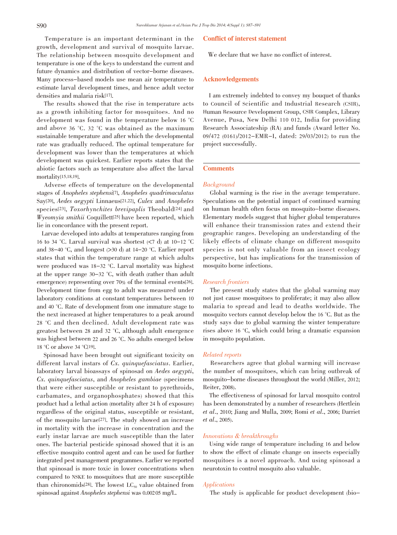Temperature is an important determinant in the growth, development and survival of mosquito larvae. The relationship between mosquito development and temperature is one of the keys to understand the current and future dynamics and distribution of vector-borne diseases. Many process-based models use mean air temperature to estimate larval development times, and hence adult vector densities and malaria risk[17].

The results showed that the rise in temperature acts as a growth inhibiting factor for mosquitoes. And no development was found in the temperature below 16 °C and above 36 °C. 32 °C was obtained as the maximum sustainable temperature and after which the developmental rate was gradually reduced. The optimal temperature for development was lower than the temperatures at which development was quickest. Earlier reports states that the abiotic factors such as temperature also affect the larval mortality[15,18,19].

Adverse effects of temperature on the developmental stages of Anopheles stephensi[7], Anopheles quadrimaculatus Say[20], Aedes aegypti Linnaeus[21,22], Culex and Anopheles species<sup>[23]</sup>, Toxorhynchites brevipaplis Theobald<sup>[24]</sup> and Wyeomyia smithii Coquillett[25] have been reported, which lie in concordance with the present report.

Larvae developed into adults at temperatures ranging from 16 to 34 °C. Larval survival was shortest (<7 d) at 10-12 °C and 38-40 °C, and longest (>30 d) at 14-20 °C. Earlier report states that within the temperature range at which adults were produced was 18-32 °C. Larval mortality was highest at the upper range 30-32 °C, with death (rather than adult emergence) representing over 70% of the terminal events[26]. Development time from egg to adult was measured under laboratory conditions at constant temperatures between 10 and 40 °C. Rate of development from one immature stage to the next increased at higher temperatures to a peak around 28 °C and then declined. Adult development rate was greatest between 28 and 32 °C, although adult emergence was highest between 22 and 26 °C. No adults emerged below 18 °C or above 34 °C[19].

Spinosad have been brought out significant toxicity on different larval instars of Cx. quinquefasciatus. Earlier, laboratory larval bioassays of spinosad on Aedes aegypti, Cx. quinquefasciatus, and Anopheles gambiae (specimens that were either susceptible or resistant to pyrethroids, carbamates, and organophosphates) showed that this product had a lethal action (mortality after 24 h of exposure) regardless of the original status, susceptible or resistant, of the mosquito larvae[27]. The study showed an increase in mortality with the increase in concentration and the early instar larvae are much susceptible than the later ones. The bacterial pesticide spinosad showed that it is an effective mosquito control agent and can be used for further integrated pest management programmes. Earlier we reported that spinosad is more toxic in lower concentrations when compared to NSKE to mosquitoes that are more susceptible than chironomids<sup>[28]</sup>. The lowest  $LC_{50}$  value obtained from spinosad against Anopheles stephensi was 0.00205 mg/L.

#### Conflict of interest statement

We declare that we have no conflict of interest.

#### Acknowledgements

I am extremely indebted to convey my bouquet of thanks to Council of Scientific and Industrial Research (CSIR), Human Resource Development Group, CSIR Complex, Library Avenue, Pusa, New Delhi 110 012, India for providing Research Associateship (RA) and funds (Award letter No. 09/472 (0161)/2012-EMR-I, dated: 29/03/2012) to run the project successfully.

# **Comments**

# Background

Global warming is the rise in the average temperature. Speculations on the potential impact of continued warming on human health often focus on mosquito-borne diseases. Elementary models suggest that higher global temperatures will enhance their transmission rates and extend their geographic ranges. Developing an understanding of the likely effects of climate change on different mosquito species is not only valuable from an insect ecology perspective, but has implications for the transmission of mosquito borne infections.

# Research frontiers

The present study states that the global warming may not just cause mosquitoes to proliferate; it may also allow malaria to spread and lead to deaths worldwide. The mosquito vectors cannot develop below the 16 °C. But as the study says due to global warming the winter temperature rises above 16 °C, which could bring a dramatic expansion in mosquito population.

# Related reports

Researchers agree that global warming will increase the number of mosquitoes, which can bring outbreak of mosquito-borne diseases throughout the world (Miller, 2012; Reiter, 2008).

The effectiveness of spinosad for larval mosquito control has been demonstrated by a number of researchers (Hertlein et al., 2010; Jiang and Mulla, 2009; Romi et al., 2006; Darriet et al., 2005).

#### Innovations & breakthroughs

Using wide range of temperature including 16 and below to show the effect of climate change on insects especially mosquitoes is a novel approach. And using spinosad a neurotoxin to control mosquito also valuable.

#### Applications

The study is applicable for product development (bio-